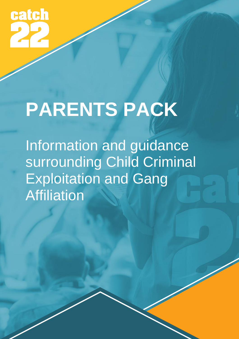**catch** 

# **PARENTS PACK**

Information and guidance surrounding Child Criminal Exploitation and Gang Affiliation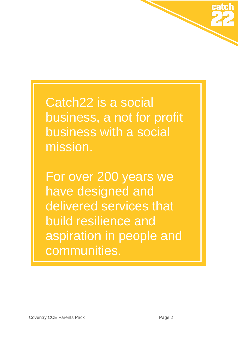

Catch22 is a social business, a not for profit business with a social mission.

For over 200 years we have designed and delivered services that build resilience and aspiration in people and communities.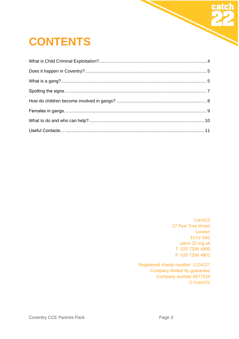# **CONTENTS**

Catch22 27 Pear Tree Street London EC1V 3AG catch-22.org.uk T: 020 7336 4800 F: 020 7336 4801

Registered charity number: 1124127 Company limited by guarantee Company number 6577534 © Catch22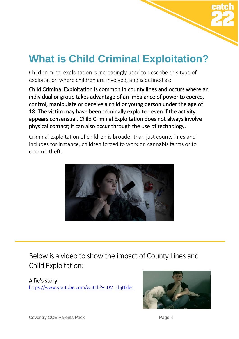

# <span id="page-3-0"></span>**What is Child Criminal Exploitation?**

Child criminal exploitation is increasingly used to describe this type of exploitation where children are involved, and is defined as:

Child Criminal Exploitation is common in county lines and occurs where an individual or group takes advantage of an imbalance of power to coerce, control, manipulate or deceive a child or young person under the age of 18. The victim may have been criminally exploited even if the activity appears consensual. Child Criminal Exploitation does not always involve physical contact; it can also occur through the use of technology.

Criminal exploitation of children is broader than just county lines and includes for instance, children forced to work on cannabis farms or to commit theft.



Below is a video to show the impact of County Lines and Child Exploitation:

Alfie's story [https://www.youtube.com/watch?v=DV\\_EbjNklec](https://www.youtube.com/watch?v=DV_EbjNklec)



Coventry CCE Parents Pack **Page 4**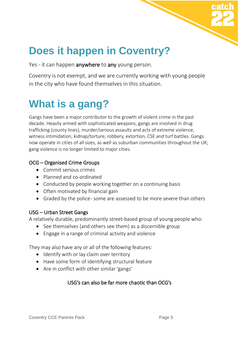

# <span id="page-4-0"></span>**Does it happen in Coventry?**

Yes - it can happen **anywhere** to any young person.

Coventry is not exempt, and we are currently working with young people in the city who have found themselves in this situation.

### <span id="page-4-1"></span>**What is a gang?**

Gangs have been a major contributor to the growth of violent crime in the past decade. Heavily armed with sophisticated weapons, gangs are involved in drug trafficking (county lines), murder/serious assaults and acts of extreme violence, witness intimidation, kidnap/torture, robbery, extortion, CSE and turf battles. Gangs now operate in cities of all sizes, as well as suburban communities throughout the UK; gang violence is no longer limited to major cities.

#### OCG – Organised Crime Groups

- Commit serious crimes
- Planned and co-ordinated
- Conducted by people working together on a continuing basis
- Often motivated by financial gain
- Graded by the police-some are assessed to be more severe than others

#### USG – Urban Street Gangs

A relatively durable, predominantly street-based group of young people who:

- See themselves (and others see them) as a discernible group
- Engage in a range of criminal activity and violence

They may also have any or all of the following features:

- Identify with or lay claim over territory
- Have some form of identifying structural feature
- Are in conflict with other similar 'gangs'

#### USG's can also be far more chaotic than OCG's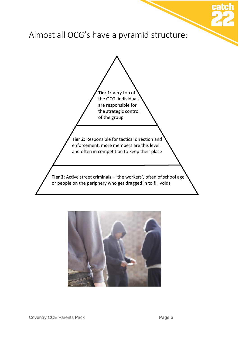

Almost all OCG's have a pyramid structure:

**Tier 1:** Very top of the OCG, individuals are responsible for the strategic control of the group **Tier 2:** Responsible for tactical direction and enforcement, more members are this level and often in competition to keep their place **Tier 3:** Active street criminals – 'the workers', often of school age or people on the periphery who get dragged in to fill voids

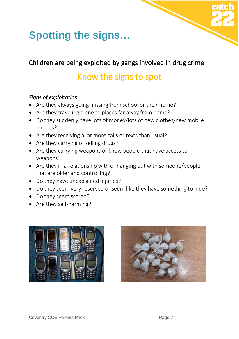

# <span id="page-6-0"></span>**Spotting the signs…**

### Children are being exploited by gangs involved in drug crime.

### Know the signs to spot

### *Signs of exploitation*

- Are they always going missing from school or their home?
- Are they traveling alone to places far away from home?
- Do they suddenly have lots of money/lots of new clothes/new mobile phones?
- Are they receiving a lot more calls or texts than usual?
- Are they carrying or selling drugs?
- Are they carrying weapons or know people that have access to weapons?
- Are they in a relationship with or hanging out with someone/people that are older and controlling?
- Do they have unexplained injuries?
- Do they seem very reserved or seem like they have something to hide?
- Do they seem scared?
- Are they self-harming?



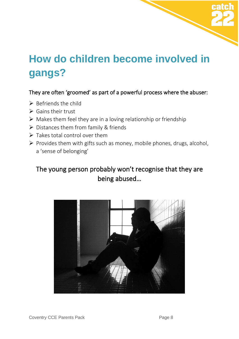

### <span id="page-7-0"></span>**How do children become involved in gangs?**

### They are often 'groomed' as part of a powerful process where the abuser:

- $\triangleright$  Befriends the child
- $\triangleright$  Gains their trust
- $\triangleright$  Makes them feel they are in a loving relationship or friendship
- ➢ Distances them from family & friends
- $\triangleright$  Takes total control over them
- ➢ Provides them with gifts such as money, mobile phones, drugs, alcohol, a 'sense of belonging'

### The young person probably won't recognise that they are being abused…

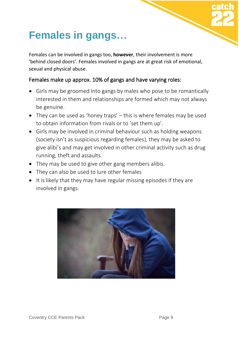# <span id="page-8-0"></span>**Females in gangs…**

Females can be involved in gangs too, **however**, their involvement is more 'behind closed doors'. Females involved in gangs are at great risk of emotional, sexual and physical abuse.

#### Females make up approx. 10% of gangs and have varying roles:

- Girls may be groomed into gangs by males who pose to be romantically interested in them and relationships are formed which may not always be genuine.
- They can be used as 'honey traps' this is where females may be used to obtain information from rivals or to 'set them up'.
- Girls may be involved in criminal behaviour such as holding weapons (society isn't as suspicious regarding females), they may be asked to give alibi's and may get involved in other criminal activity such as drug running, theft and assaults.
- They may be used to give other gang members alibis.
- They can also be used to lure other females
- It is likely that they may have regular missing episodes if they are involved in gangs.

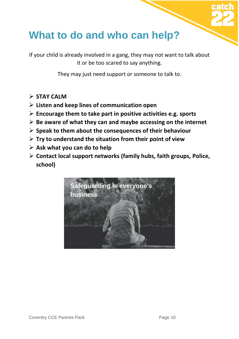### <span id="page-9-0"></span>**What to do and who can help?**

If your child is already involved in a gang, they may not want to talk about it or be too scared to say anything.

They may just need support or someone to talk to.

- ➢ **STAY CALM**
- ➢ **Listen and keep lines of communication open**
- ➢ **Encourage them to take part in positive activities e.g. sports**
- ➢ **Be aware of what they can and maybe accessing on the internet**
- ➢ **Speak to them about the consequences of their behaviour**
- ➢ **Try to understand the situation from their point of view**
- ➢ **Ask what you can do to help**
- ➢ **Contact local support networks (family hubs, faith groups, Police, school)**